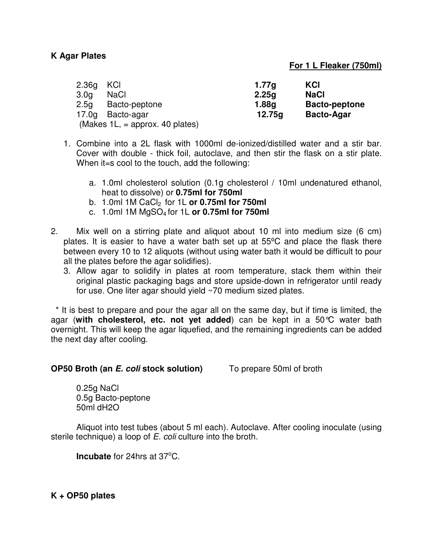## **K Agar Plates**

## **For 1 L Fleaker (750ml)**

| – KCI<br>2.36q                     | 1.77q  | KCI                  |
|------------------------------------|--------|----------------------|
| <b>NaCl</b><br>3.0 <sub>a</sub>    | 2.25q  | <b>NaCl</b>          |
| Bacto-peptone<br>2.5 <sub>q</sub>  | 1.88g  | <b>Bacto-peptone</b> |
| Bacto-agar<br>17.0a                | 12.75g | <b>Bacto-Agar</b>    |
| (Makes $1L$ , = approx. 40 plates) |        |                      |

- 1. Combine into a 2L flask with 1000ml de-ionized/distilled water and a stir bar. Cover with double - thick foil, autoclave, and then stir the flask on a stir plate. When it=s cool to the touch, add the following:
	- a. 1.0ml cholesterol solution (0.1g cholesterol / 10ml undenatured ethanol, heat to dissolve) or **0.75ml for 750ml**
	- b. 1.0ml 1M CaCl<sub>2</sub> for 1L or 0.75ml for 750ml
	- c. 1.0ml 1M MgSO4 for 1L **or 0.75ml for 750ml**
- 2. Mix well on a stirring plate and aliquot about 10 ml into medium size (6 cm) plates. It is easier to have a water bath set up at 55<sup>o</sup>C and place the flask there between every 10 to 12 aliquots (without using water bath it would be difficult to pour all the plates before the agar solidifies).
	- 3. Allow agar to solidify in plates at room temperature, stack them within their original plastic packaging bags and store upside-down in refrigerator until ready for use. One liter agar should yield ~70 medium sized plates.

 \* It is best to prepare and pour the agar all on the same day, but if time is limited, the agar (**with cholesterol, etc. not yet added**) can be kept in a 50°C water bath overnight. This will keep the agar liquefied, and the remaining ingredients can be added the next day after cooling.

## **OP50 Broth (an E. coli stock solution)** To prepare 50ml of broth

0.25g NaCl 0.5g Bacto-peptone 50ml dH2O

Aliquot into test tubes (about 5 ml each). Autoclave. After cooling inoculate (using sterile technique) a loop of E. coli culture into the broth.

**Incubate** for 24hrs at 37<sup>o</sup>C.

**K + OP50 plates**